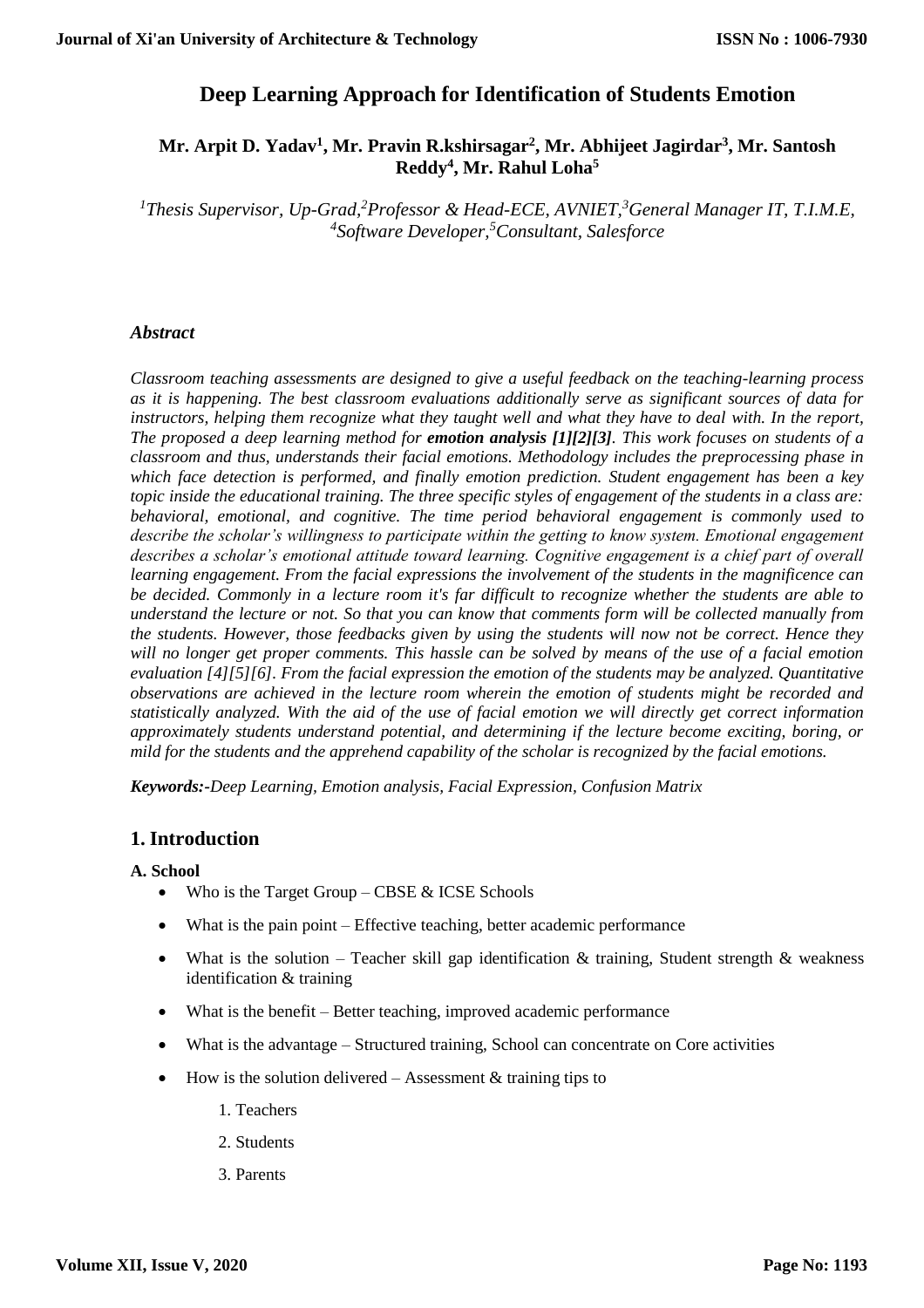# **Deep Learning Approach for Identification of Students Emotion**

# **Mr. Arpit D. Yadav<sup>1</sup> , Mr. Pravin R.kshirsagar<sup>2</sup> , Mr. Abhijeet Jagirdar<sup>3</sup> , Mr. Santosh Reddy<sup>4</sup> , Mr. Rahul Loha<sup>5</sup>**

*<sup>1</sup>Thesis Supervisor, Up-Grad, <sup>2</sup>Professor & Head-ECE, AVNIET,<sup>3</sup>General Manager IT, T.I.M.E, 4 Software Developer,<sup>5</sup>Consultant, Salesforce*

### *Abstract*

*Classroom teaching assessments are designed to give a useful feedback on the teaching-learning process as it is happening. The best classroom evaluations additionally serve as significant sources of data for instructors, helping them recognize what they taught well and what they have to deal with. In the report, The proposed a deep learning method for emotion analysis [1][2][3]. This work focuses on students of a classroom and thus, understands their facial emotions. Methodology includes the preprocessing phase in which face detection is performed, and finally emotion prediction. Student engagement has been a key topic inside the educational training. The three specific styles of engagement of the students in a class are: behavioral, emotional, and cognitive. The time period behavioral engagement is commonly used to describe the scholar's willingness to participate within the getting to know system. Emotional engagement describes a scholar's emotional attitude toward learning. Cognitive engagement is a chief part of overall learning engagement. From the facial expressions the involvement of the students in the magnificence can be decided. Commonly in a lecture room it's far difficult to recognize whether the students are able to understand the lecture or not. So that you can know that comments form will be collected manually from the students. However, those feedbacks given by using the students will now not be correct. Hence they will no longer get proper comments. This hassle can be solved by means of the use of a facial emotion evaluation [4][5][6]. From the facial expression the emotion of the students may be analyzed. Quantitative observations are achieved in the lecture room wherein the emotion of students might be recorded and statistically analyzed. With the aid of the use of facial emotion we will directly get correct information approximately students understand potential, and determining if the lecture become exciting, boring, or mild for the students and the apprehend capability of the scholar is recognized by the facial emotions.*

*Keywords:-Deep Learning, Emotion analysis, Facial Expression, Confusion Matrix*

### **1. Introduction**

### **A. School**

- Who is the Target Group CBSE  $&$  ICSE Schools
- What is the pain point Effective teaching, better academic performance
- What is the solution Teacher skill gap identification  $\&$  training, Student strength  $\&$  weakness identification & training
- What is the benefit Better teaching, improved academic performance
- What is the advantage Structured training, School can concentrate on Core activities
- $\bullet$  How is the solution delivered Assessment & training tips to
	- 1. Teachers
	- 2. Students
	- 3. Parents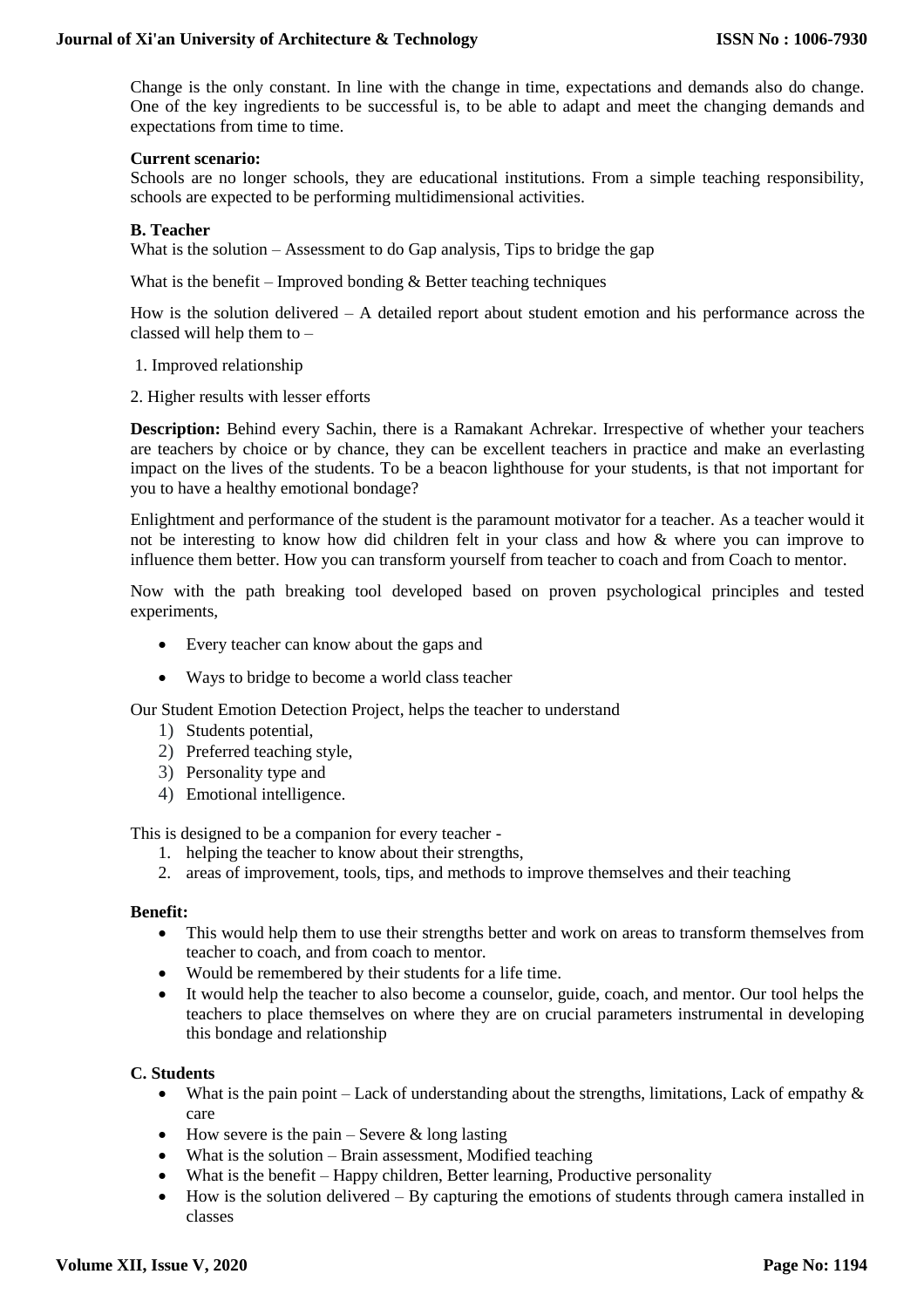Change is the only constant. In line with the change in time, expectations and demands also do change. One of the key ingredients to be successful is, to be able to adapt and meet the changing demands and expectations from time to time.

#### **Current scenario:**

Schools are no longer schools, they are educational institutions. From a simple teaching responsibility, schools are expected to be performing multidimensional activities.

#### **B. Teacher**

What is the solution – Assessment to do Gap analysis, Tips to bridge the gap

What is the benefit – Improved bonding  $&$  Better teaching techniques

How is the solution delivered – A detailed report about student emotion and his performance across the classed will help them to –

- 1. Improved relationship
- 2. Higher results with lesser efforts

**Description:** Behind every Sachin, there is a Ramakant Achrekar. Irrespective of whether your teachers are teachers by choice or by chance, they can be excellent teachers in practice and make an everlasting impact on the lives of the students. To be a beacon lighthouse for your students, is that not important for you to have a healthy emotional bondage?

Enlightment and performance of the student is the paramount motivator for a teacher. As a teacher would it not be interesting to know how did children felt in your class and how & where you can improve to influence them better. How you can transform yourself from teacher to coach and from Coach to mentor.

Now with the path breaking tool developed based on proven psychological principles and tested experiments,

- Every teacher can know about the gaps and
- Ways to bridge to become a world class teacher

Our Student Emotion Detection Project, helps the teacher to understand

- 1) Students potential,
- 2) Preferred teaching style,
- 3) Personality type and
- 4) Emotional intelligence.

This is designed to be a companion for every teacher -

- 1. helping the teacher to know about their strengths,
- 2. areas of improvement, tools, tips, and methods to improve themselves and their teaching

#### **Benefit:**

- This would help them to use their strengths better and work on areas to transform themselves from teacher to coach, and from coach to mentor.
- Would be remembered by their students for a life time.
- It would help the teacher to also become a counselor, guide, coach, and mentor. Our tool helps the teachers to place themselves on where they are on crucial parameters instrumental in developing this bondage and relationship

#### **C. Students**

- What is the pain point Lack of understanding about the strengths, limitations, Lack of empathy  $\&$ care
- $\bullet$  How severe is the pain Severe & long lasting
- What is the solution Brain assessment, Modified teaching
- What is the benefit Happy children, Better learning, Productive personality
- How is the solution delivered By capturing the emotions of students through camera installed in classes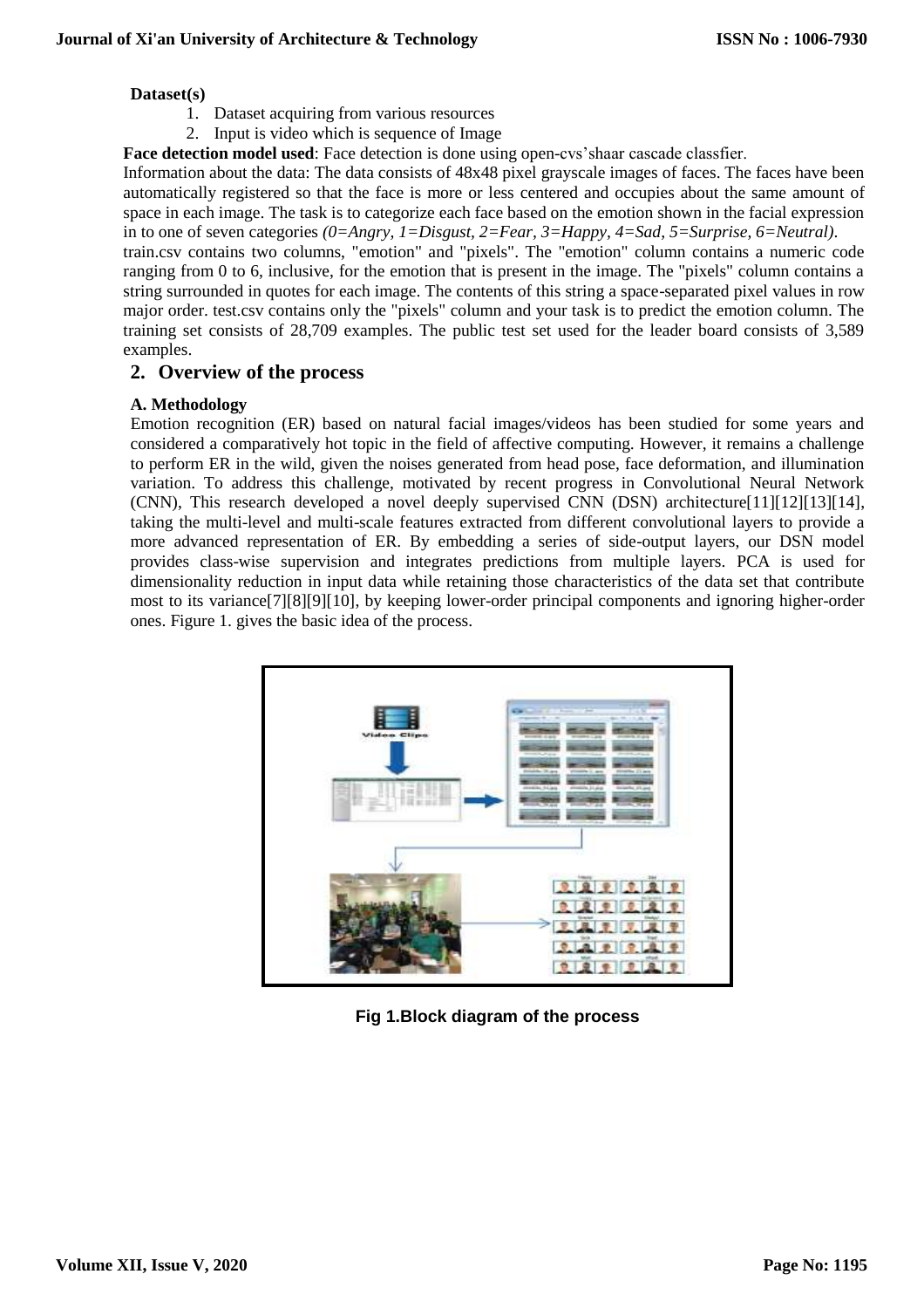#### **Dataset(s)**

- 1. Dataset acquiring from various resources
- 2. Input is video which is sequence of Image

**Face detection model used**: Face detection is done using open-cvs'shaar cascade classfier.

Information about the data: The data consists of 48x48 pixel grayscale images of faces. The faces have been automatically registered so that the face is more or less centered and occupies about the same amount of space in each image. The task is to categorize each face based on the emotion shown in the facial expression in to one of seven categories *(0=Angry, 1=Disgust, 2=Fear, 3=Happy, 4=Sad, 5=Surprise, 6=Neutral)*.

train.csv contains two columns, "emotion" and "pixels". The "emotion" column contains a numeric code ranging from 0 to 6, inclusive, for the emotion that is present in the image. The "pixels" column contains a string surrounded in quotes for each image. The contents of this string a space-separated pixel values in row major order. test.csv contains only the "pixels" column and your task is to predict the emotion column. The training set consists of 28,709 examples. The public test set used for the leader board consists of 3,589 examples.

### **2. Overview of the process**

### **A. Methodology**

Emotion recognition (ER) based on natural facial images/videos has been studied for some years and considered a comparatively hot topic in the field of affective computing. However, it remains a challenge to perform ER in the wild, given the noises generated from head pose, face deformation, and illumination variation. To address this challenge, motivated by recent progress in Convolutional Neural Network (CNN), This research developed a novel deeply supervised CNN (DSN) architecture[11][12][13][14], taking the multi-level and multi-scale features extracted from different convolutional layers to provide a more advanced representation of ER. By embedding a series of side-output layers, our DSN model provides class-wise supervision and integrates predictions from multiple layers. PCA is used for dimensionality reduction in input data while retaining those characteristics of the data set that contribute most to its variance[7][8][9][10], by keeping lower-order principal components and ignoring higher-order ones. Figure 1. gives the basic idea of the process.



**Fig 1.Block diagram of the process**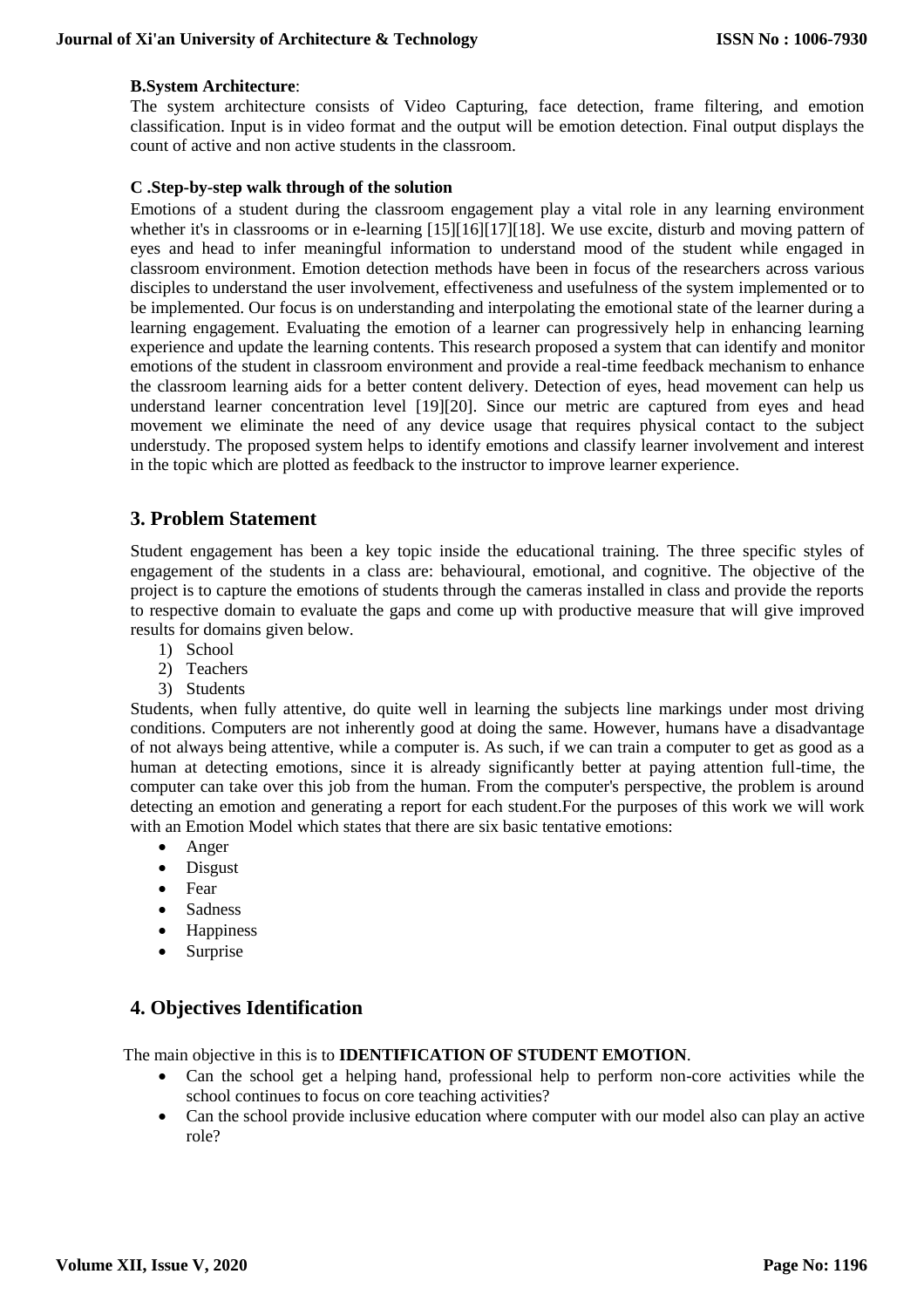### **B.System Architecture**:

The system architecture consists of Video Capturing, face detection, frame filtering, and emotion classification. Input is in video format and the output will be emotion detection. Final output displays the count of active and non active students in the classroom.

### **C .Step-by-step walk through of the solution**

Emotions of a student during the classroom engagement play a vital role in any learning environment whether it's in classrooms or in e-learning [15][16][17][18]. We use excite, disturb and moving pattern of eyes and head to infer meaningful information to understand mood of the student while engaged in classroom environment. Emotion detection methods have been in focus of the researchers across various disciples to understand the user involvement, effectiveness and usefulness of the system implemented or to be implemented. Our focus is on understanding and interpolating the emotional state of the learner during a learning engagement. Evaluating the emotion of a learner can progressively help in enhancing learning experience and update the learning contents. This research proposed a system that can identify and monitor emotions of the student in classroom environment and provide a real-time feedback mechanism to enhance the classroom learning aids for a better content delivery. Detection of eyes, head movement can help us understand learner concentration level [19][20]. Since our metric are captured from eyes and head movement we eliminate the need of any device usage that requires physical contact to the subject understudy. The proposed system helps to identify emotions and classify learner involvement and interest in the topic which are plotted as feedback to the instructor to improve learner experience.

# **3. Problem Statement**

Student engagement has been a key topic inside the educational training. The three specific styles of engagement of the students in a class are: behavioural, emotional, and cognitive. The objective of the project is to capture the emotions of students through the cameras installed in class and provide the reports to respective domain to evaluate the gaps and come up with productive measure that will give improved results for domains given below.

- 1) School
- 2) Teachers
- 3) Students

Students, when fully attentive, do quite well in learning the subjects line markings under most driving conditions. Computers are not inherently good at doing the same. However, humans have a disadvantage of not always being attentive, while a computer is. As such, if we can train a computer to get as good as a human at detecting emotions, since it is already significantly better at paying attention full-time, the computer can take over this job from the human. From the computer's perspective, the problem is around detecting an emotion and generating a report for each student.For the purposes of this work we will work with an Emotion Model which states that there are six basic tentative emotions:

- Anger
- Disgust
- Fear
- Sadness
- Happiness
- Surprise

# **4. Objectives Identification**

The main objective in this is to **IDENTIFICATION OF STUDENT EMOTION**.

- Can the school get a helping hand, professional help to perform non-core activities while the school continues to focus on core teaching activities?
- Can the school provide inclusive education where computer with our model also can play an active role?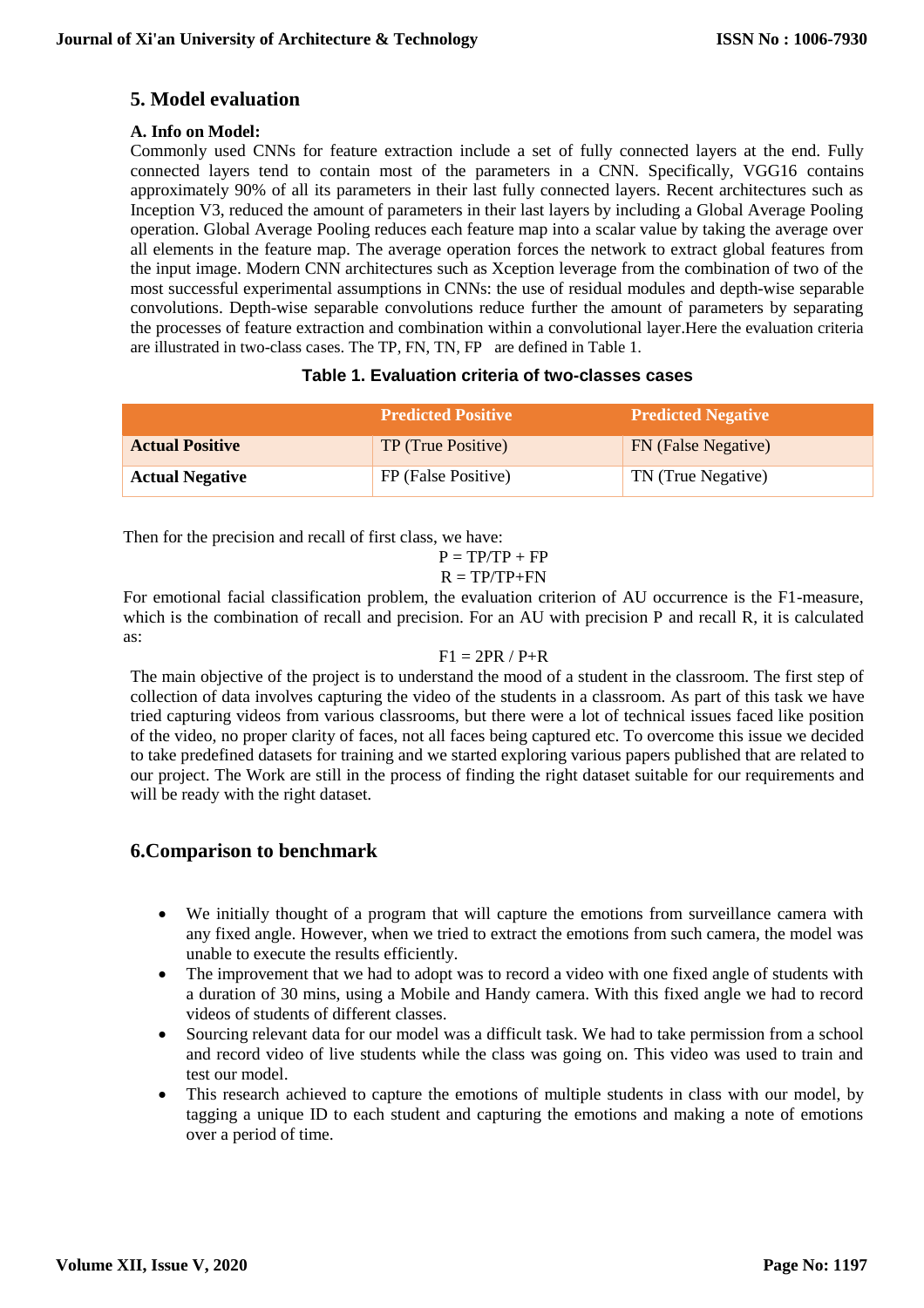# **5. Model evaluation**

### **A. Info on Model:**

Commonly used CNNs for feature extraction include a set of fully connected layers at the end. Fully connected layers tend to contain most of the parameters in a CNN. Specifically, VGG16 contains approximately 90% of all its parameters in their last fully connected layers. Recent architectures such as Inception V3, reduced the amount of parameters in their last layers by including a Global Average Pooling operation. Global Average Pooling reduces each feature map into a scalar value by taking the average over all elements in the feature map. The average operation forces the network to extract global features from the input image. Modern CNN architectures such as Xception leverage from the combination of two of the most successful experimental assumptions in CNNs: the use of residual modules and depth-wise separable convolutions. Depth-wise separable convolutions reduce further the amount of parameters by separating the processes of feature extraction and combination within a convolutional layer.Here the evaluation criteria are illustrated in two-class cases. The TP, FN, TN, FP are defined in Table 1.

### **Table 1. Evaluation criteria of two-classes cases**

|                        | <b>Predicted Positive</b> | <b>Predicted Negative</b> |
|------------------------|---------------------------|---------------------------|
| <b>Actual Positive</b> | TP (True Positive)        | FN (False Negative)       |
| <b>Actual Negative</b> | FP (False Positive)       | TN (True Negative)        |

Then for the precision and recall of first class, we have:

$$
P = TP/TP + FP
$$

$$
R = TP/TP + FN
$$

For emotional facial classification problem, the evaluation criterion of AU occurrence is the F1-measure, which is the combination of recall and precision. For an AU with precision P and recall R, it is calculated as:

### $F1 = 2PR / P + R$

The main objective of the project is to understand the mood of a student in the classroom. The first step of collection of data involves capturing the video of the students in a classroom. As part of this task we have tried capturing videos from various classrooms, but there were a lot of technical issues faced like position of the video, no proper clarity of faces, not all faces being captured etc. To overcome this issue we decided to take predefined datasets for training and we started exploring various papers published that are related to our project. The Work are still in the process of finding the right dataset suitable for our requirements and will be ready with the right dataset.

# **6.Comparison to benchmark**

- We initially thought of a program that will capture the emotions from surveillance camera with any fixed angle. However, when we tried to extract the emotions from such camera, the model was unable to execute the results efficiently.
- The improvement that we had to adopt was to record a video with one fixed angle of students with a duration of 30 mins, using a Mobile and Handy camera. With this fixed angle we had to record videos of students of different classes.
- Sourcing relevant data for our model was a difficult task. We had to take permission from a school and record video of live students while the class was going on. This video was used to train and test our model.
- This research achieved to capture the emotions of multiple students in class with our model, by tagging a unique ID to each student and capturing the emotions and making a note of emotions over a period of time.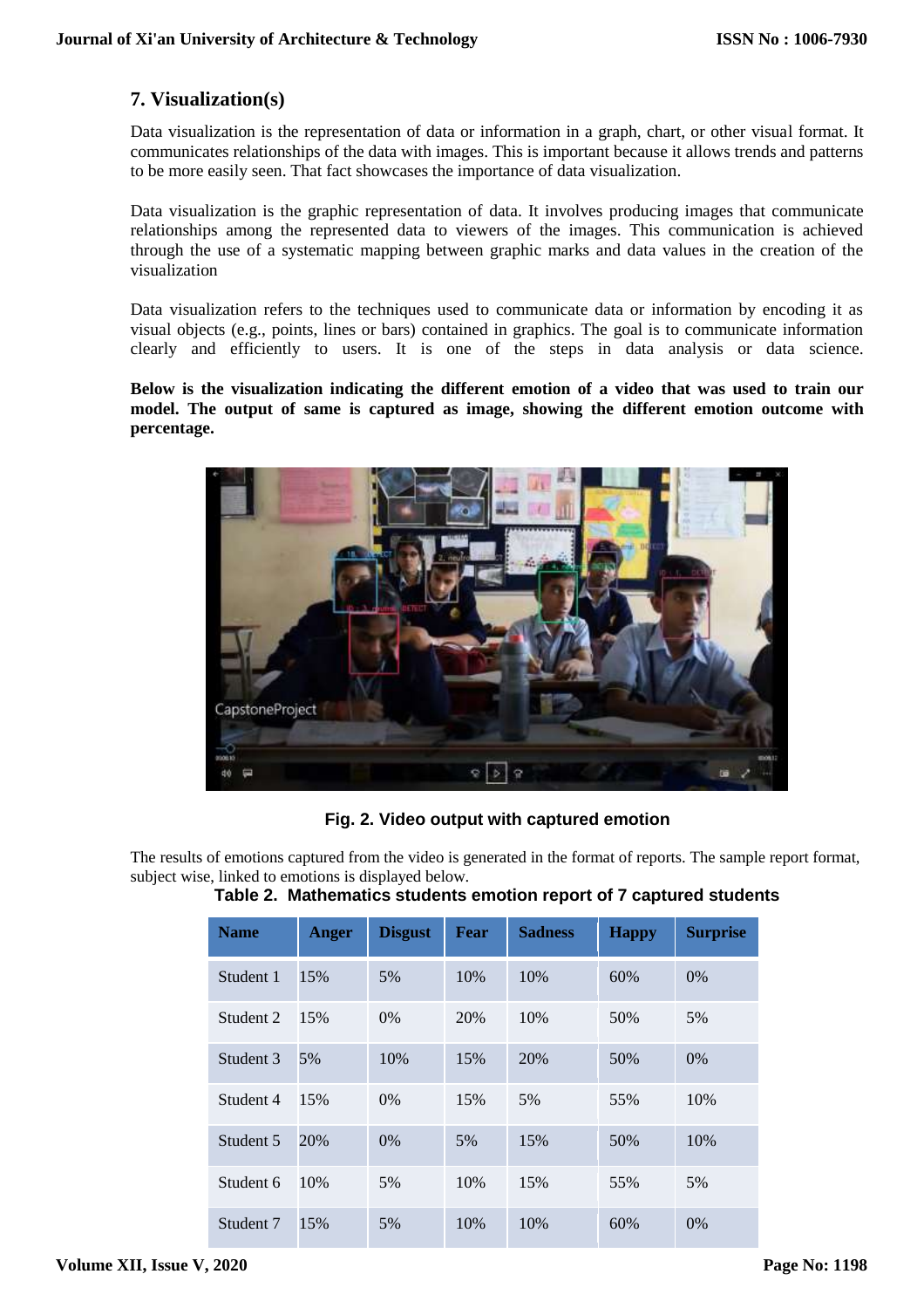# **7. Visualization(s)**

Data visualization is the representation of data or information in a graph, chart, or other visual format. It communicates relationships of the data with images. This is important because it allows trends and patterns to be more easily seen. That fact showcases the importance of data visualization.

Data visualization is the graphic representation of data. It involves producing images that communicate relationships among the represented data to viewers of the images. This communication is achieved through the use of a systematic mapping between graphic marks and data values in the creation of the visualization

Data visualization refers to the techniques used to communicate data or information by encoding it as visual objects (e.g., points, lines or bars) contained in graphics. The goal is to communicate information clearly and efficiently to users. It is one of the steps in data analysis or data science.

### **Below is the visualization indicating the different emotion of a video that was used to train our model. The output of same is captured as image, showing the different emotion outcome with percentage.**



**Fig. 2. Video output with captured emotion**

The results of emotions captured from the video is generated in the format of reports. The sample report format, subject wise, linked to emotions is displayed below.

| <b>Name</b> | <b>Anger</b> | <b>Disgust</b> | Fear | <b>Sadness</b> | <b>Happy</b> | <b>Surprise</b> |
|-------------|--------------|----------------|------|----------------|--------------|-----------------|
| Student 1   | 15%          | 5%             | 10%  | 10%            | 60%          | $0\%$           |
| Student 2   | 15%          | $0\%$          | 20%  | 10%            | 50%          | 5%              |
| Student 3   | 5%           | 10%            | 15%  | 20%            | 50%          | $0\%$           |
| Student 4   | 15%          | $0\%$          | 15%  | 5%             | 55%          | 10%             |
| Student 5   | 20%          | $0\%$          | 5%   | 15%            | 50%          | 10%             |
| Student 6   | 10%          | 5%             | 10%  | 15%            | 55%          | 5%              |
| Student 7   | 15%          | 5%             | 10%  | 10%            | 60%          | 0%              |

### **Table 2. Mathematics students emotion report of 7 captured students**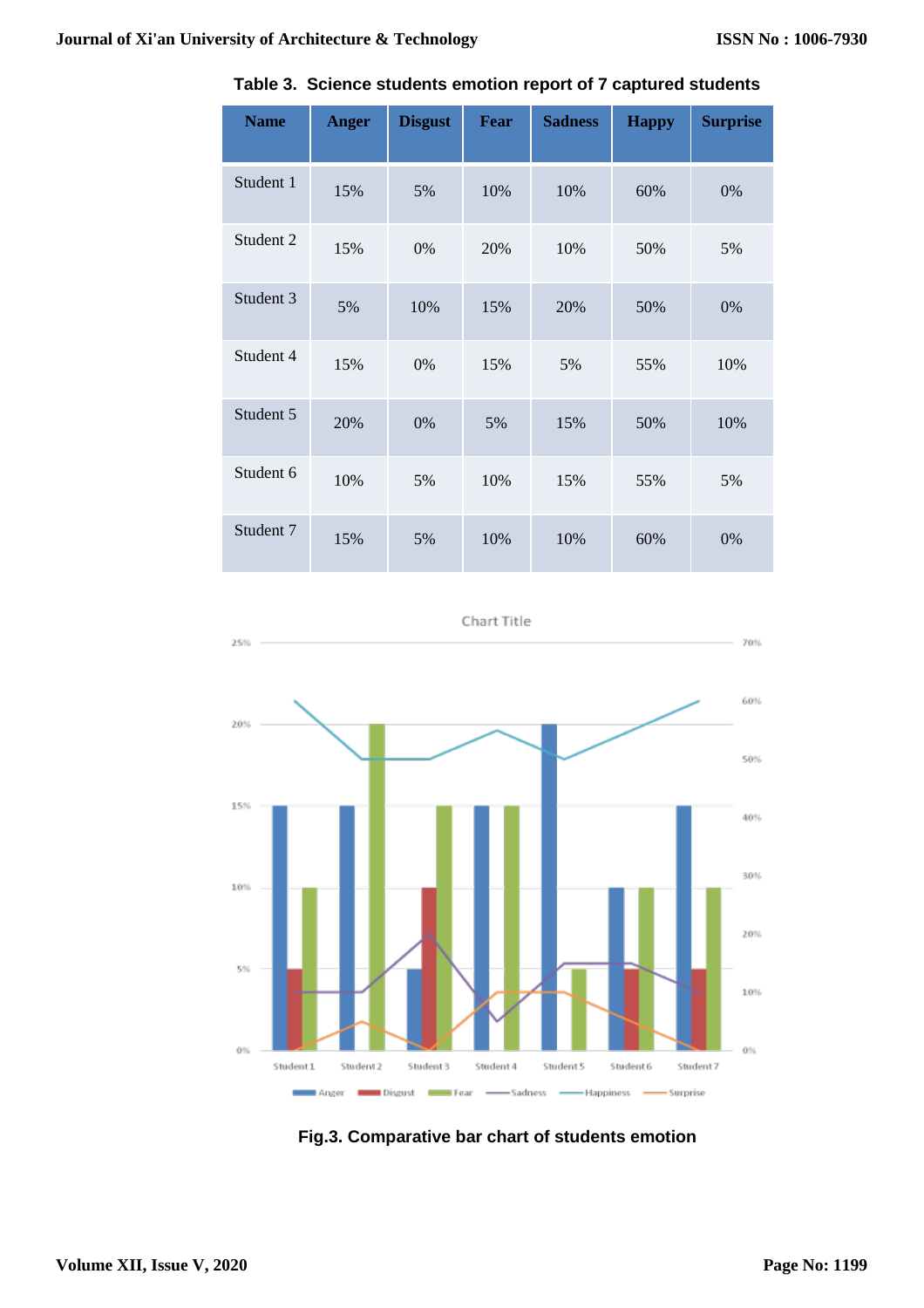| <b>Name</b> | <b>Anger</b> | <b>Disgust</b> | Fear | <b>Sadness</b> | <b>Happy</b> | <b>Surprise</b> |
|-------------|--------------|----------------|------|----------------|--------------|-----------------|
| Student 1   | 15%          | 5%             | 10%  | 10%            | 60%          | 0%              |
| Student 2   | 15%          | 0%             | 20%  | 10%            | 50%          | 5%              |
| Student 3   | 5%           | 10%            | 15%  | 20%            | 50%          | 0%              |
| Student 4   | 15%          | 0%             | 15%  | 5%             | 55%          | 10%             |
| Student 5   | 20%          | 0%             | 5%   | 15%            | 50%          | 10%             |
| Student 6   | 10%          | 5%             | 10%  | 15%            | 55%          | 5%              |
| Student 7   | 15%          | 5%             | 10%  | 10%            | 60%          | 0%              |

**Table 3. Science students emotion report of 7 captured students**

Chart Title



**Fig.3. Comparative bar chart of students emotion**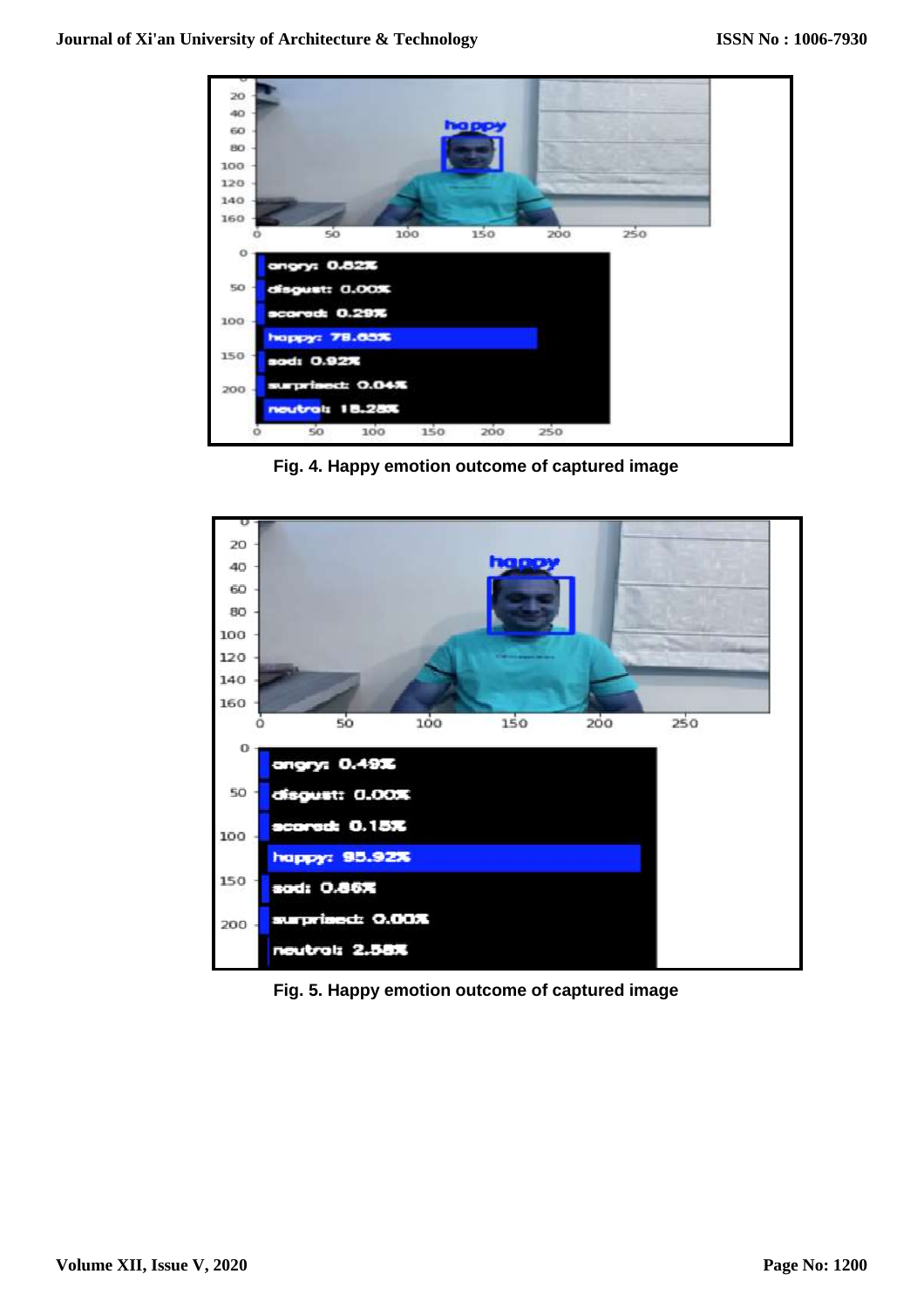

**Fig. 4. Happy emotion outcome of captured image**



**Fig. 5. Happy emotion outcome of captured image**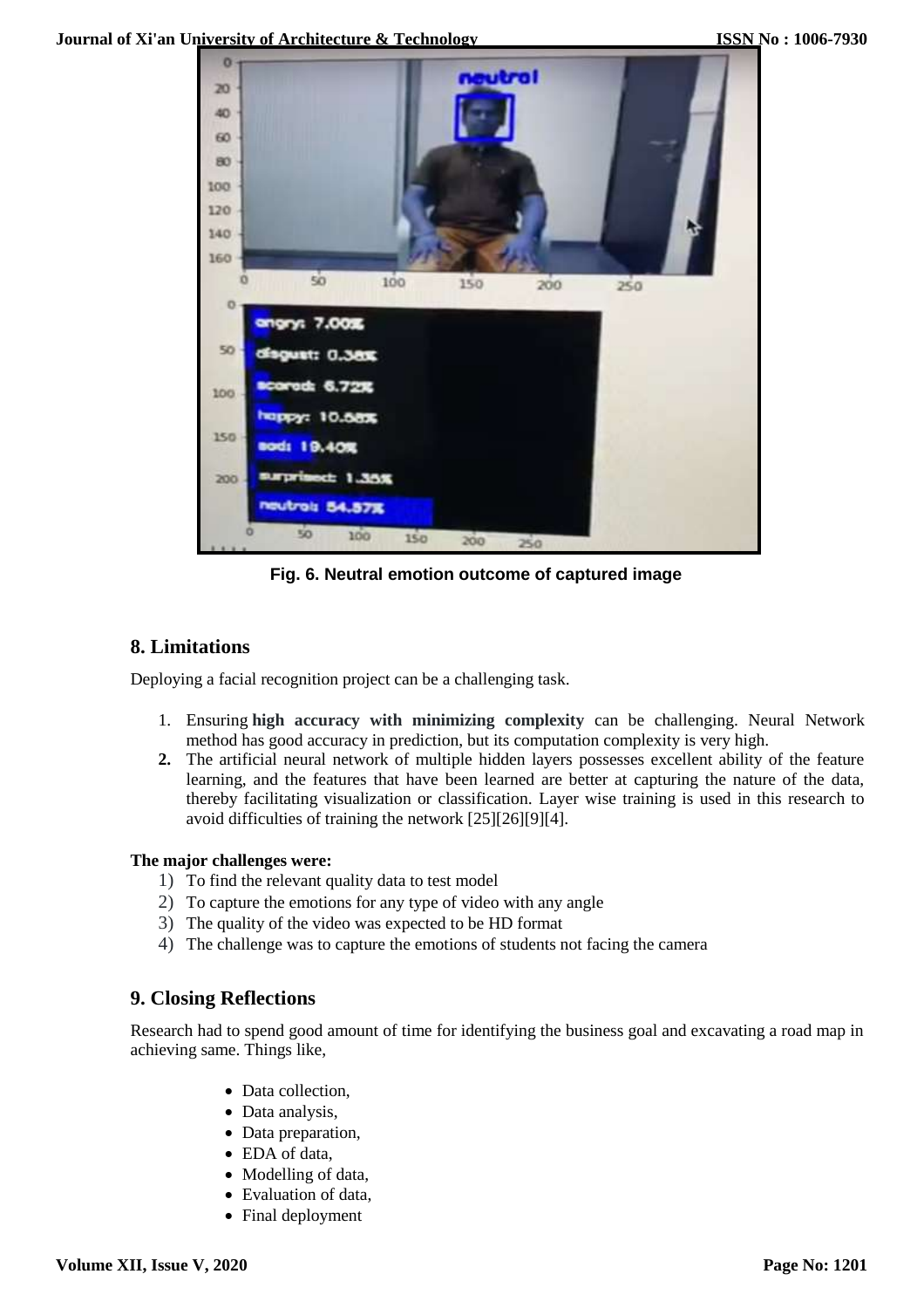

**Fig. 6. Neutral emotion outcome of captured image**

## **8. Limitations**

Deploying a facial recognition project can be a challenging task.

- 1. Ensuring **high accuracy with minimizing complexity** can be challenging. Neural Network method has good accuracy in prediction, but its computation complexity is very high.
- **2.** The artificial neural network of multiple hidden layers possesses excellent ability of the feature learning, and the features that have been learned are better at capturing the nature of the data, thereby facilitating visualization or classification. Layer wise training is used in this research to avoid difficulties of training the network [25][26][9][4].

### **The major challenges were:**

- 1) To find the relevant quality data to test model
- 2) To capture the emotions for any type of video with any angle
- 3) The quality of the video was expected to be HD format
- 4) The challenge was to capture the emotions of students not facing the camera

# **9. Closing Reflections**

Research had to spend good amount of time for identifying the business goal and excavating a road map in achieving same. Things like,

- Data collection,
- Data analysis,
- Data preparation,
- EDA of data,
- Modelling of data,
- Evaluation of data,
- Final deployment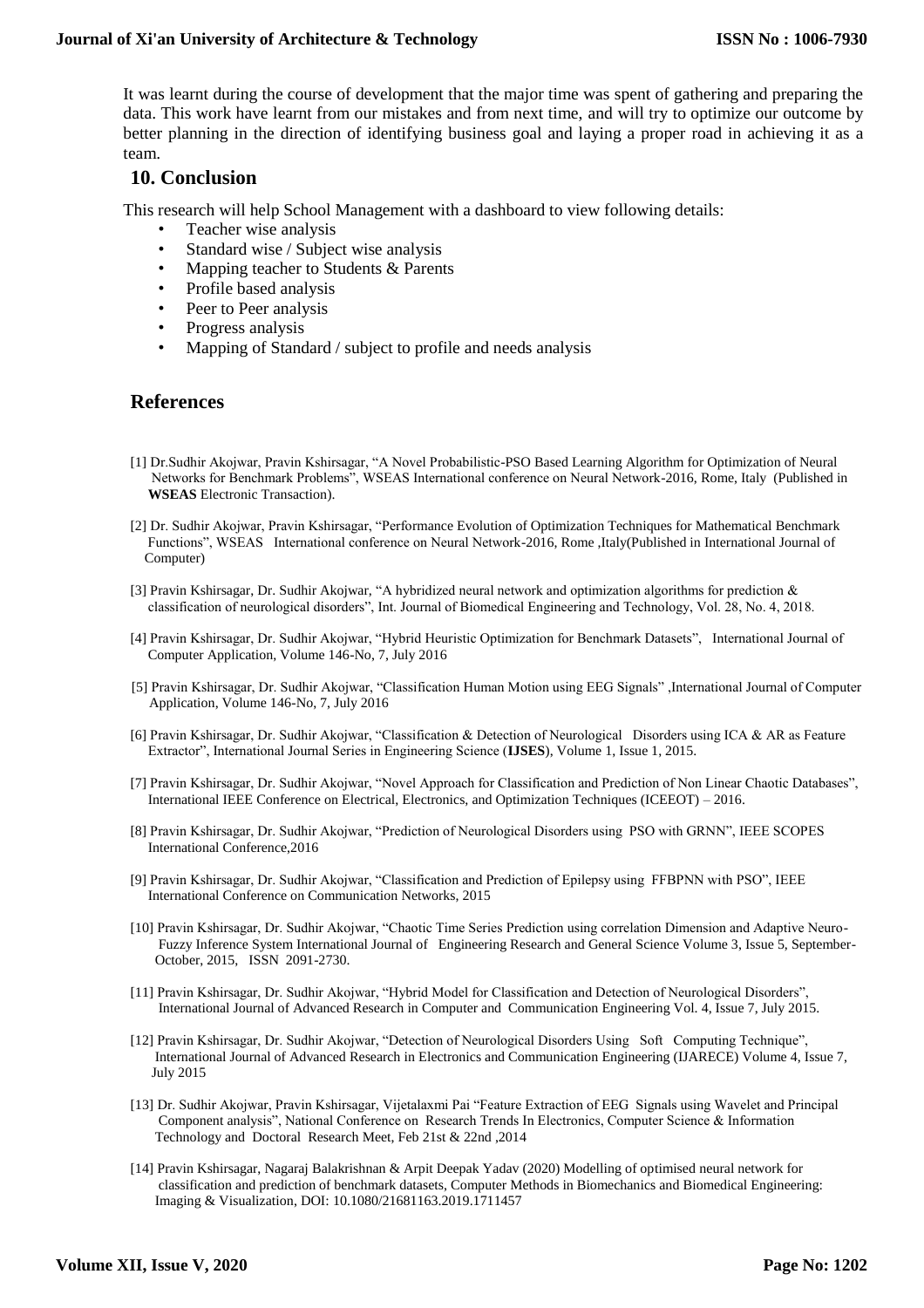It was learnt during the course of development that the major time was spent of gathering and preparing the data. This work have learnt from our mistakes and from next time, and will try to optimize our outcome by better planning in the direction of identifying business goal and laying a proper road in achieving it as a team.

## **10. Conclusion**

This research will help School Management with a dashboard to view following details:

- Teacher wise analysis
- Standard wise / Subject wise analysis
- Mapping teacher to Students & Parents
- Profile based analysis
- Peer to Peer analysis
- Progress analysis
- Mapping of Standard / subject to profile and needs analysis

### **References**

- [1] Dr.Sudhir Akojwar, Pravin Kshirsagar, "A Novel Probabilistic-PSO Based Learning Algorithm for Optimization of Neural Networks for Benchmark Problems", WSEAS International conference on Neural Network-2016, Rome, Italy (Published in **WSEAS** Electronic Transaction).
- [2] Dr. Sudhir Akojwar, Pravin Kshirsagar, "Performance Evolution of Optimization Techniques for Mathematical Benchmark Functions", WSEAS International conference on Neural Network-2016, Rome ,Italy(Published in International Journal of Computer)
- [3] Pravin Kshirsagar, Dr. Sudhir Akojwar, "A hybridized neural network and optimization algorithms for prediction & classification of neurological disorders", Int. Journal of Biomedical Engineering and Technology, Vol. 28, No. 4, 2018.
- [4] Pravin Kshirsagar, Dr. Sudhir Akojwar, "Hybrid Heuristic Optimization for Benchmark Datasets", International Journal of Computer Application, Volume 146-No, 7, July 2016
- [5] Pravin Kshirsagar, Dr. Sudhir Akojwar, "Classification Human Motion using EEG Signals" ,International Journal of Computer Application, Volume 146-No, 7, July 2016
- [6] Pravin Kshirsagar, Dr. Sudhir Akojwar, "Classification & Detection of Neurological Disorders using ICA & AR as Feature Extractor", International Journal Series in Engineering Science (**IJSES**), Volume 1, Issue 1, 2015.
- [7] Pravin Kshirsagar, Dr. Sudhir Akojwar, "Novel Approach for Classification and Prediction of Non Linear Chaotic Databases", International IEEE Conference on Electrical, Electronics, and Optimization Techniques (ICEEOT) – 2016.
- [8] Pravin Kshirsagar, Dr. Sudhir Akojwar, "Prediction of Neurological Disorders using PSO with GRNN", IEEE SCOPES International Conference,2016
- [9] Pravin Kshirsagar, Dr. Sudhir Akojwar, "Classification and Prediction of Epilepsy using FFBPNN with PSO", IEEE International Conference on Communication Networks, 2015
- [10] Pravin Kshirsagar, Dr. Sudhir Akojwar, "Chaotic Time Series Prediction using correlation Dimension and Adaptive Neuro- Fuzzy Inference System International Journal of Engineering Research and General Science Volume 3, Issue 5, September- October, 2015, ISSN 2091-2730.
- [11] Pravin Kshirsagar, Dr. Sudhir Akojwar, "Hybrid Model for Classification and Detection of Neurological Disorders", International Journal of Advanced Research in Computer and Communication Engineering Vol. 4, Issue 7, July 2015.
- [12] Pravin Kshirsagar, Dr. Sudhir Akojwar, "Detection of Neurological Disorders Using Soft Computing Technique", International Journal of Advanced Research in Electronics and Communication Engineering (IJARECE) Volume 4, Issue 7, July 2015
- [13] Dr. Sudhir Akojwar, Pravin Kshirsagar, Vijetalaxmi Pai "Feature Extraction of EEG Signals using Wavelet and Principal Component analysis", National Conference on Research Trends In Electronics, Computer Science & Information Technology and Doctoral Research Meet, Feb 21st & 22nd ,2014
- [14] Pravin Kshirsagar, Nagaraj Balakrishnan & Arpit Deepak Yadav (2020) Modelling of optimised neural network for classification and prediction of benchmark datasets, Computer Methods in Biomechanics and Biomedical Engineering: Imaging & Visualization, DOI[: 10.1080/21681163.2019.1711457](https://doi.org/10.1080/21681163.2019.1711457)